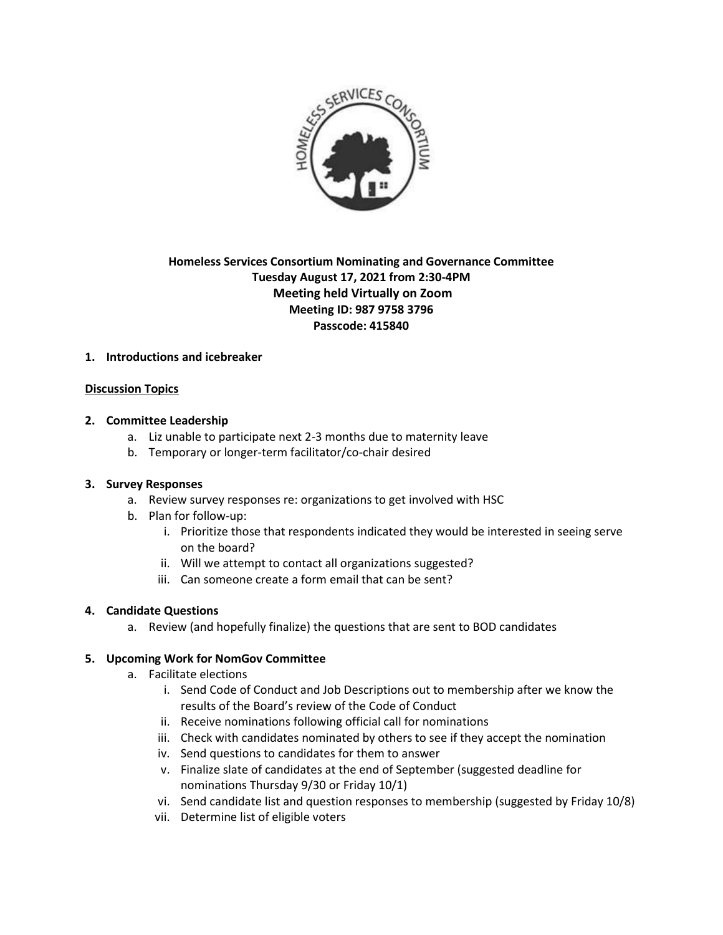

# **Homeless Services Consortium Nominating and Governance Committee Tuesday August 17, 2021 from 2:30-4PM Meeting held Virtually on Zoom Meeting ID: 987 9758 3796 Passcode: 415840**

## **1. Introductions and icebreaker**

### **Discussion Topics**

### **2. Committee Leadership**

- a. Liz unable to participate next 2-3 months due to maternity leave
- b. Temporary or longer-term facilitator/co-chair desired

### **3. Survey Responses**

- a. Review survey responses re: organizations to get involved with HSC
- b. Plan for follow-up:
	- i. Prioritize those that respondents indicated they would be interested in seeing serve on the board?
	- ii. Will we attempt to contact all organizations suggested?
	- iii. Can someone create a form email that can be sent?

### **4. Candidate Questions**

a. Review (and hopefully finalize) the questions that are sent to BOD candidates

## **5. Upcoming Work for NomGov Committee**

- a. Facilitate elections
	- i. Send Code of Conduct and Job Descriptions out to membership after we know the results of the Board's review of the Code of Conduct
	- ii. Receive nominations following official call for nominations
	- iii. Check with candidates nominated by others to see if they accept the nomination
	- iv. Send questions to candidates for them to answer
	- v. Finalize slate of candidates at the end of September (suggested deadline for nominations Thursday 9/30 or Friday 10/1)
	- vi. Send candidate list and question responses to membership (suggested by Friday 10/8)
	- vii. Determine list of eligible voters